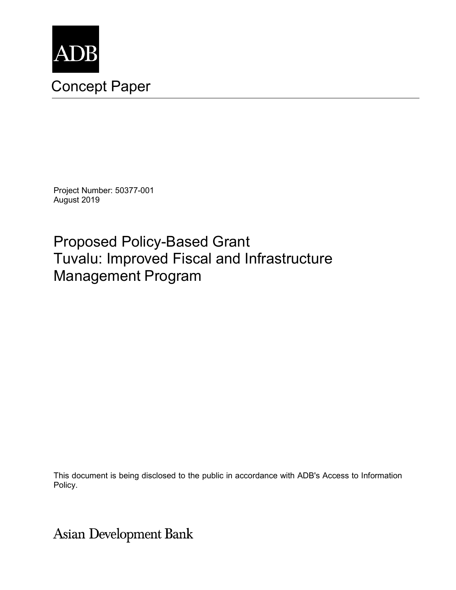

# Concept Paper

Project Number: 50377-001 August 2019

Proposed Policy-Based Grant Tuvalu: Improved Fiscal and Infrastructure Management Program

This document is being disclosed to the public in accordance with ADB's Access to Information Policy.

**Asian Development Bank**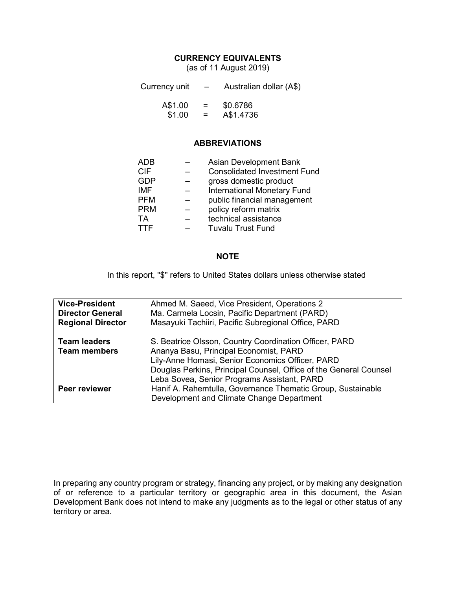## **CURRENCY EQUIVALENTS**

(as of 11 August 2019)

| Currency unit | $-$ | Australian dollar (A\$) |
|---------------|-----|-------------------------|
| A\$1.00       | $=$ | \$0.6786                |
| \$1.00        | $=$ | A\$1.4736               |

#### **ABBREVIATIONS**

| ADB        | <b>Asian Development Bank</b>       |
|------------|-------------------------------------|
| <b>CIF</b> | <b>Consolidated Investment Fund</b> |
| <b>GDP</b> | gross domestic product              |
| <b>IMF</b> | <b>International Monetary Fund</b>  |
| <b>PFM</b> | public financial management         |
| <b>PRM</b> | policy reform matrix                |
| TA         | technical assistance                |
| TTF        | <b>Tuvalu Trust Fund</b>            |
|            |                                     |

#### **NOTE**

In this report, "\$" refers to United States dollars unless otherwise stated

| <b>Vice-President</b><br><b>Director General</b><br><b>Regional Director</b> | Ahmed M. Saeed, Vice President, Operations 2<br>Ma. Carmela Locsin, Pacific Department (PARD)<br>Masayuki Tachiiri, Pacific Subregional Office, PARD                                                                                                                     |
|------------------------------------------------------------------------------|--------------------------------------------------------------------------------------------------------------------------------------------------------------------------------------------------------------------------------------------------------------------------|
| <b>Team leaders</b><br><b>Team members</b>                                   | S. Beatrice Olsson, Country Coordination Officer, PARD<br>Ananya Basu, Principal Economist, PARD<br>Lily-Anne Homasi, Senior Economics Officer, PARD<br>Douglas Perkins, Principal Counsel, Office of the General Counsel<br>Leba Sovea, Senior Programs Assistant, PARD |
| Peer reviewer                                                                | Hanif A. Rahemtulla, Governance Thematic Group, Sustainable<br>Development and Climate Change Department                                                                                                                                                                 |

In preparing any country program or strategy, financing any project, or by making any designation of or reference to a particular territory or geographic area in this document, the Asian Development Bank does not intend to make any judgments as to the legal or other status of any territory or area.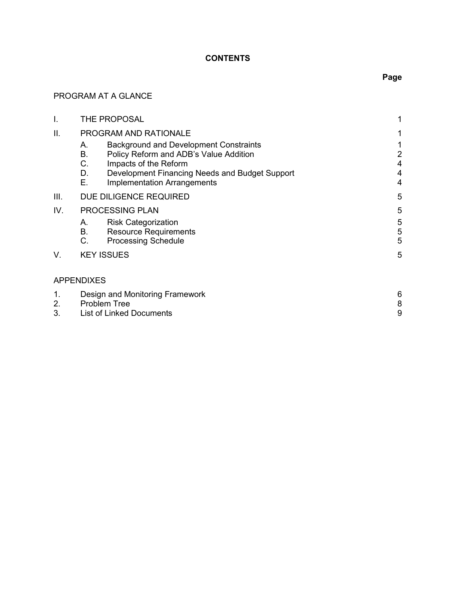## **CONTENTS**

## PROGRAM AT A GLANCE

| I.                     | THE PROPOSAL                                                                              |                                                                                                                                                                                                          |                               |
|------------------------|-------------------------------------------------------------------------------------------|----------------------------------------------------------------------------------------------------------------------------------------------------------------------------------------------------------|-------------------------------|
| ΙΙ.                    | PROGRAM AND RATIONALE                                                                     |                                                                                                                                                                                                          |                               |
|                        | А.<br>В.<br>C.<br>D.<br>Е.                                                                | <b>Background and Development Constraints</b><br>Policy Reform and ADB's Value Addition<br>Impacts of the Reform<br>Development Financing Needs and Budget Support<br><b>Implementation Arrangements</b> | 2<br>4<br>4<br>$\overline{4}$ |
| III.                   |                                                                                           | DUE DILIGENCE REQUIRED                                                                                                                                                                                   | 5                             |
| IV.<br>PROCESSING PLAN |                                                                                           | 5                                                                                                                                                                                                        |                               |
|                        | А.<br><b>B.</b><br>C.                                                                     | <b>Risk Categorization</b><br><b>Resource Requirements</b><br><b>Processing Schedule</b>                                                                                                                 | 5<br>5<br>5                   |
| V.                     |                                                                                           | <b>KEY ISSUES</b>                                                                                                                                                                                        | 5                             |
| <b>APPENDIXES</b>      |                                                                                           |                                                                                                                                                                                                          |                               |
| 1.<br>2.<br>3.         | Design and Monitoring Framework<br><b>Problem Tree</b><br><b>List of Linked Documents</b> |                                                                                                                                                                                                          | 6<br>8<br>9                   |

# **Page**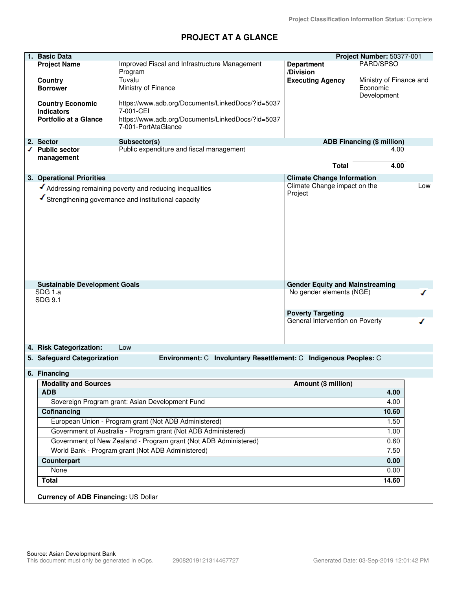## **PROJECT AT A GLANCE**

| 1. | <b>Basic Data</b>                                 |                                                                  |                                        | Project Number: 50377-001         |     |
|----|---------------------------------------------------|------------------------------------------------------------------|----------------------------------------|-----------------------------------|-----|
|    | <b>Project Name</b>                               | Improved Fiscal and Infrastructure Management                    | <b>Department</b>                      | PARD/SPSO                         |     |
|    |                                                   | Program                                                          | /Division                              |                                   |     |
|    | <b>Country</b>                                    | Tuvalu                                                           | <b>Executing Agency</b>                | Ministry of Finance and           |     |
|    | <b>Borrower</b>                                   | Ministry of Finance                                              |                                        | Economic                          |     |
|    |                                                   |                                                                  |                                        | Development                       |     |
|    | <b>Country Economic</b>                           | https://www.adb.org/Documents/LinkedDocs/?id=5037<br>7-001-CEI   |                                        |                                   |     |
|    | <b>Indicators</b><br><b>Portfolio at a Glance</b> | https://www.adb.org/Documents/LinkedDocs/?id=5037                |                                        |                                   |     |
|    |                                                   | 7-001-PortAtaGlance                                              |                                        |                                   |     |
|    |                                                   |                                                                  |                                        |                                   |     |
|    | 2. Sector                                         | Subsector(s)                                                     |                                        | <b>ADB Financing (\$ million)</b> |     |
| ◢  | <b>Public sector</b>                              | Public expenditure and fiscal management                         |                                        | 4.00                              |     |
|    | management                                        |                                                                  | <b>Total</b>                           | 4.00                              |     |
|    |                                                   |                                                                  |                                        |                                   |     |
|    | 3. Operational Priorities                         |                                                                  | <b>Climate Change Information</b>      |                                   |     |
|    |                                                   | Addressing remaining poverty and reducing inequalities           | Climate Change impact on the           |                                   | Low |
|    |                                                   | Strengthening governance and institutional capacity              | Project                                |                                   |     |
|    |                                                   |                                                                  |                                        |                                   |     |
|    |                                                   |                                                                  |                                        |                                   |     |
|    |                                                   |                                                                  |                                        |                                   |     |
|    |                                                   |                                                                  |                                        |                                   |     |
|    |                                                   |                                                                  |                                        |                                   |     |
|    |                                                   |                                                                  |                                        |                                   |     |
|    |                                                   |                                                                  |                                        |                                   |     |
|    |                                                   |                                                                  |                                        |                                   |     |
|    |                                                   |                                                                  |                                        |                                   |     |
|    | <b>Sustainable Development Goals</b>              |                                                                  | <b>Gender Equity and Mainstreaming</b> |                                   |     |
|    | SDG 1.a                                           |                                                                  | No gender elements (NGE)               |                                   | ∕   |
|    | SDG 9.1                                           |                                                                  |                                        |                                   |     |
|    |                                                   |                                                                  | <b>Poverty Targeting</b>               |                                   |     |
|    |                                                   |                                                                  | General Intervention on Poverty        |                                   |     |
|    |                                                   |                                                                  |                                        |                                   |     |
|    |                                                   |                                                                  |                                        |                                   |     |
|    | 4. Risk Categorization:                           | Low                                                              |                                        |                                   |     |
|    | 5. Safeguard Categorization                       | Environment: C Involuntary Resettlement: C Indigenous Peoples: C |                                        |                                   |     |
|    |                                                   |                                                                  |                                        |                                   |     |
|    | 6. Financing                                      |                                                                  |                                        |                                   |     |
|    | <b>Modality and Sources</b>                       |                                                                  | Amount (\$ million)                    |                                   |     |
|    | <b>ADB</b>                                        |                                                                  |                                        | 4.00                              |     |
|    |                                                   | Sovereign Program grant: Asian Development Fund                  |                                        | 4.00                              |     |
|    | Cofinancing                                       |                                                                  |                                        | 10.60                             |     |
|    |                                                   | European Union - Program grant (Not ADB Administered)            |                                        | 1.50                              |     |
|    |                                                   | Government of Australia - Program grant (Not ADB Administered)   |                                        | 1.00                              |     |
|    |                                                   | Government of New Zealand - Program grant (Not ADB Administered) |                                        |                                   |     |
|    |                                                   |                                                                  |                                        | 0.60                              |     |
|    |                                                   | World Bank - Program grant (Not ADB Administered)                |                                        | 7.50                              |     |
|    | Counterpart                                       |                                                                  |                                        | 0.00                              |     |
|    | None                                              |                                                                  |                                        | 0.00                              |     |
|    | <b>Total</b>                                      |                                                                  |                                        | 14.60                             |     |
|    |                                                   |                                                                  |                                        |                                   |     |
|    | <b>Currency of ADB Financing: US Dollar</b>       |                                                                  |                                        |                                   |     |
|    |                                                   |                                                                  |                                        |                                   |     |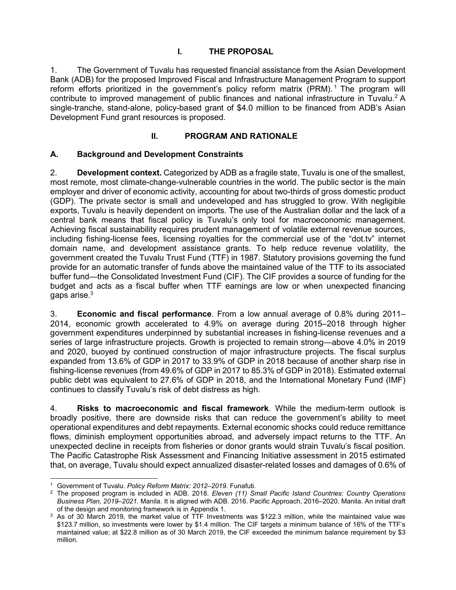## **I. THE PROPOSAL**

1. The Government of Tuvalu has requested financial assistance from the Asian Development Bank (ADB) for the proposed Improved Fiscal and Infrastructure Management Program to support reform efforts prioritized in the government's policy reform matrix (PRM).<sup>1</sup> The program will contribute to improved management of public finances and national infrastructure in Tuvalu.<sup>2</sup> A single-tranche, stand-alone, policy-based grant of \$4.0 million to be financed from ADB's Asian Development Fund grant resources is proposed.

## **II. PROGRAM AND RATIONALE**

## **A. Background and Development Constraints**

2. **Development context.** Categorized by ADB as a fragile state, Tuvalu is one of the smallest, most remote, most climate-change-vulnerable countries in the world. The public sector is the main employer and driver of economic activity, accounting for about two-thirds of gross domestic product (GDP). The private sector is small and undeveloped and has struggled to grow. With negligible exports, Tuvalu is heavily dependent on imports. The use of the Australian dollar and the lack of a central bank means that fiscal policy is Tuvalu's only tool for macroeconomic management. Achieving fiscal sustainability requires prudent management of volatile external revenue sources, including fishing-license fees, licensing royalties for the commercial use of the "dot.tv" internet domain name, and development assistance grants. To help reduce revenue volatility, the government created the Tuvalu Trust Fund (TTF) in 1987. Statutory provisions governing the fund provide for an automatic transfer of funds above the maintained value of the TTF to its associated buffer fund—the Consolidated Investment Fund (CIF). The CIF provides a source of funding for the budget and acts as a fiscal buffer when TTF earnings are low or when unexpected financing gaps arise. $^3\,$ 

3. **Economic and fiscal performance**. From a low annual average of 0.8% during 2011– 2014, economic growth accelerated to 4.9% on average during 2015–2018 through higher government expenditures underpinned by substantial increases in fishing-license revenues and a series of large infrastructure projects. Growth is projected to remain strong—above 4.0% in 2019 and 2020, buoyed by continued construction of major infrastructure projects. The fiscal surplus expanded from 13.6% of GDP in 2017 to 33.9% of GDP in 2018 because of another sharp rise in fishing-license revenues (from 49.6% of GDP in 2017 to 85.3% of GDP in 2018). Estimated external public debt was equivalent to 27.6% of GDP in 2018, and the International Monetary Fund (IMF) continues to classify Tuvalu's risk of debt distress as high.

4. **Risks to macroeconomic and fiscal framework**. While the medium-term outlook is broadly positive, there are downside risks that can reduce the government's ability to meet operational expenditures and debt repayments. External economic shocks could reduce remittance flows, diminish employment opportunities abroad, and adversely impact returns to the TTF. An unexpected decline in receipts from fisheries or donor grants would strain Tuvalu's fiscal position. The Pacific Catastrophe Risk Assessment and Financing Initiative assessment in 2015 estimated that, on average, Tuvalu should expect annualized disaster-related losses and damages of 0.6% of

 $\overline{a}$ 1 Government of Tuvalu. *Policy Reform Matrix: 2012–2019*. Funafuti.

<sup>2</sup> The proposed program is included in ADB. 2018. *Eleven (11) Small Pacific Island Countries: Country Operations Business Plan, 2019–2021.* Manila. It is aligned with ADB. 2016. Pacific Approach, 2016*–*2020. Manila. An initial draft of the design and monitoring framework is in Appendix 1.

<sup>3</sup> As of 30 March 2019, the market value of TTF Investments was \$122.3 million, while the maintained value was \$123.7 million, so investments were lower by \$1.4 million. The CIF targets a minimum balance of 16% of the TTF's maintained value; at \$22.8 million as of 30 March 2019, the CIF exceeded the minimum balance requirement by \$3 million.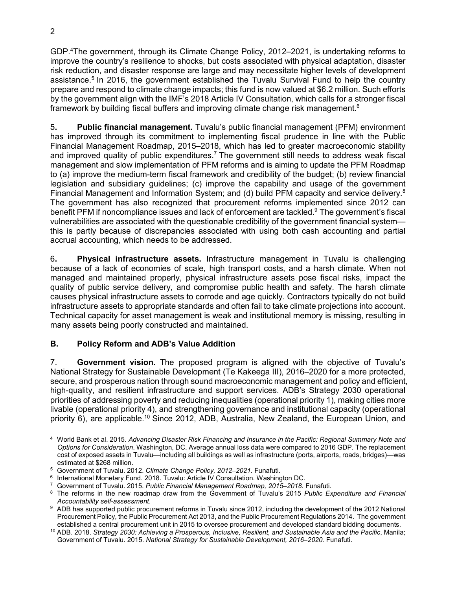GDP.<sup>4</sup>The government, through its Climate Change Policy, 2012–2021, is undertaking reforms to improve the country's resilience to shocks, but costs associated with physical adaptation, disaster risk reduction, and disaster response are large and may necessitate higher levels of development assistance.<sup>5</sup> In 2016, the government established the Tuvalu Survival Fund to help the country prepare and respond to climate change impacts; this fund is now valued at \$6.2 million. Such efforts by the government align with the IMF's 2018 Article IV Consultation, which calls for a stronger fiscal framework by building fiscal buffers and improving climate change risk management. $^6$ 

5**. Public financial management.** Tuvalu's public financial management (PFM) environment has improved through its commitment to implementing fiscal prudence in line with the Public Financial Management Roadmap, 2015–2018, which has led to greater macroeconomic stability and improved quality of public expenditures.<sup>7</sup> The government still needs to address weak fiscal management and slow implementation of PFM reforms and is aiming to update the PFM Roadmap to (a) improve the medium-term fiscal framework and credibility of the budget; (b) review financial legislation and subsidiary guidelines; (c) improve the capability and usage of the government Financial Management and Information System; and (d) build PFM capacity and service delivery.<sup>8</sup> The government has also recognized that procurement reforms implemented since 2012 can benefit PFM if noncompliance issues and lack of enforcement are tackled.<sup>9</sup> The government's fiscal vulnerabilities are associated with the questionable credibility of the government financial system this is partly because of discrepancies associated with using both cash accounting and partial accrual accounting, which needs to be addressed.

6**. Physical infrastructure assets.** Infrastructure management in Tuvalu is challenging because of a lack of economies of scale, high transport costs, and a harsh climate. When not managed and maintained properly, physical infrastructure assets pose fiscal risks, impact the quality of public service delivery, and compromise public health and safety. The harsh climate causes physical infrastructure assets to corrode and age quickly. Contractors typically do not build infrastructure assets to appropriate standards and often fail to take climate projections into account. Technical capacity for asset management is weak and institutional memory is missing, resulting in many assets being poorly constructed and maintained.

## **B. Policy Reform and ADB's Value Addition**

7. **Government vision.** The proposed program is aligned with the objective of Tuvalu's National Strategy for Sustainable Development (Te Kakeega III), 2016–2020 for a more protected, secure, and prosperous nation through sound macroeconomic management and policy and efficient, high-quality, and resilient infrastructure and support services. ADB's Strategy 2030 operational priorities of addressing poverty and reducing inequalities (operational priority 1), making cities more livable (operational priority 4), and strengthening governance and institutional capacity (operational priority 6), are applicable.<sup>10</sup> Since 2012, ADB, Australia, New Zealand, the European Union, and

 4 World Bank et al. 2015. *Advancing Disaster Risk Financing and Insurance in the Pacific: Regional Summary Note and Options for Consideration*. Washington, DC. Average annual loss data were compared to 2016 GDP. The replacement cost of exposed assets in Tuvalu—including all buildings as well as infrastructure (ports, airports, roads, bridges)—was estimated at \$268 million.

<sup>5</sup> Government of Tuvalu. 2012. *Climate Change Policy, 2012–2021.* Funafuti.

<sup>&</sup>lt;sup>6</sup> International Monetary Fund. 2018. Tuvalu: Article IV Consultation. Washington DC.

<sup>7</sup> Government of Tuvalu. 2015. *Public Financial Management Roadmap, 2015–2018*. Funafuti.

<sup>8</sup> The reforms in the new roadmap draw from the Government of Tuvalu's 2015 *Public Expenditure and Financial Accountability self-assessment*.

<sup>9</sup> ADB has supported public procurement reforms in Tuvalu since 2012, including the development of the 2012 National Procurement Policy, the Public Procurement Act 2013, and the Public Procurement Regulations 2014. The government established a central procurement unit in 2015 to oversee procurement and developed standard bidding documents.

<sup>10</sup> ADB. 2018. *Strategy 2030: Achieving a Prosperous, Inclusive, Resilient, and Sustainable Asia and the Pacific*, Manila; Government of Tuvalu. 2015. *National Strategy for Sustainable Development, 2016–2020.* Funafuti.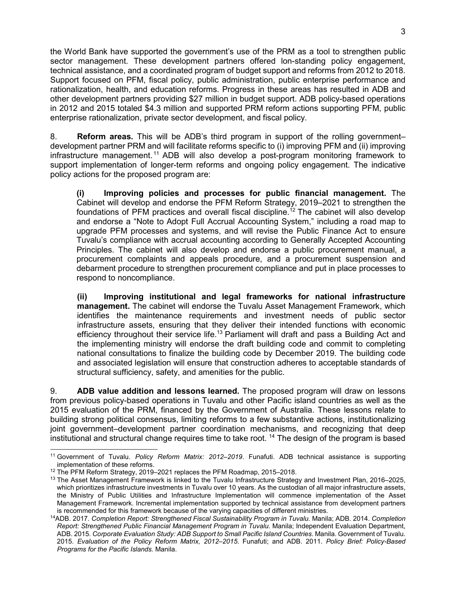the World Bank have supported the government's use of the PRM as a tool to strengthen public sector management. These development partners offered lon-standing policy engagement, technical assistance, and a coordinated program of budget support and reforms from 2012 to 2018. Support focused on PFM, fiscal policy, public administration, public enterprise performance and rationalization, health, and education reforms. Progress in these areas has resulted in ADB and other development partners providing \$27 million in budget support. ADB policy-based operations in 2012 and 2015 totaled \$4.3 million and supported PRM reform actions supporting PFM, public enterprise rationalization, private sector development, and fiscal policy.

8. **Reform areas.** This will be ADB's third program in support of the rolling government– development partner PRM and will facilitate reforms specific to (i) improving PFM and (ii) improving infrastructure management. <sup>11</sup> ADB will also develop a post-program monitoring framework to support implementation of longer-term reforms and ongoing policy engagement. The indicative policy actions for the proposed program are:

**(i) Improving policies and processes for public financial management.** The Cabinet will develop and endorse the PFM Reform Strategy, 2019–2021 to strengthen the foundations of PFM practices and overall fiscal discipline.<sup>12</sup> The cabinet will also develop and endorse a "Note to Adopt Full Accrual Accounting System," including a road map to upgrade PFM processes and systems, and will revise the Public Finance Act to ensure Tuvalu's compliance with accrual accounting according to Generally Accepted Accounting Principles. The cabinet will also develop and endorse a public procurement manual, a procurement complaints and appeals procedure, and a procurement suspension and debarment procedure to strengthen procurement compliance and put in place processes to respond to noncompliance.

**(ii) Improving institutional and legal frameworks for national infrastructure management.** The cabinet will endorse the Tuvalu Asset Management Framework, which identifies the maintenance requirements and investment needs of public sector infrastructure assets, ensuring that they deliver their intended functions with economic efficiency throughout their service life.<sup>13</sup> Parliament will draft and pass a Building Act and the implementing ministry will endorse the draft building code and commit to completing national consultations to finalize the building code by December 2019. The building code and associated legislation will ensure that construction adheres to acceptable standards of structural sufficiency, safety, and amenities for the public.

9. **ADB value addition and lessons learned.** The proposed program will draw on lessons from previous policy-based operations in Tuvalu and other Pacific island countries as well as the 2015 evaluation of the PRM, financed by the Government of Australia. These lessons relate to building strong political consensus, limiting reforms to a few substantive actions, institutionalizing joint government–development partner coordination mechanisms, and recognizing that deep institutional and structural change requires time to take root. <sup>14</sup> The design of the program is based

 $\overline{a}$ <sup>11</sup> Government of Tuvalu. *Policy Reform Matrix: 2012–2019*. Funafuti. ADB technical assistance is supporting implementation of these reforms.

<sup>12</sup> The PFM Reform Strategy, 2019*–*2021 replaces the PFM Roadmap, 2015–2018.

<sup>&</sup>lt;sup>13</sup> The Asset Management Framework is linked to the Tuvalu Infrastructure Strategy and Investment Plan, 2016–2025, which prioritizes infrastructure investments in Tuvalu over 10 years. As the custodian of all major infrastructure assets, the Ministry of Public Utilities and Infrastructure Implementation will commence implementation of the Asset Management Framework. Incremental implementation supported by technical assistance from development partners is recommended for this framework because of the varying capacities of different ministries.

<sup>14</sup>ADB. 2017. *Completion Report: Strengthened Fiscal Sustainability Program in Tuvalu.* Manila; ADB. 2014. *Completion Report: Strengthened Public Financial Management Program in Tuvalu.* Manila; Independent Evaluation Department, ADB. 2015*. Corporate Evaluation Study: ADB Support to Small Pacific Island Countries*. Manila. Government of Tuvalu. 2015. *Evaluation of the Policy Reform Matrix, 2012–2015*. Funafuti; and ADB. 2011. *Policy Brief: Policy-Based Programs for the Pacific Islands.* Manila.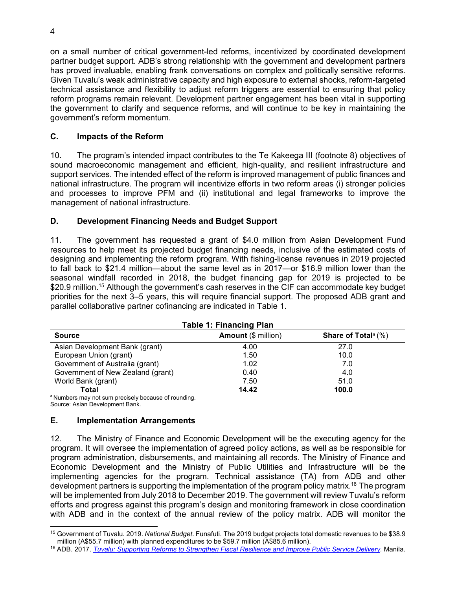on a small number of critical government-led reforms, incentivized by coordinated development partner budget support. ADB's strong relationship with the government and development partners has proved invaluable, enabling frank conversations on complex and politically sensitive reforms. Given Tuvalu's weak administrative capacity and high exposure to external shocks, reform-targeted technical assistance and flexibility to adjust reform triggers are essential to ensuring that policy reform programs remain relevant. Development partner engagement has been vital in supporting the government to clarify and sequence reforms, and will continue to be key in maintaining the government's reform momentum.

## **C. Impacts of the Reform**

10. The program's intended impact contributes to the Te Kakeega III (footnote 8) objectives of sound macroeconomic management and efficient, high-quality, and resilient infrastructure and support services. The intended effect of the reform is improved management of public finances and national infrastructure. The program will incentivize efforts in two reform areas (i) stronger policies and processes to improve PFM and (ii) institutional and legal frameworks to improve the management of national infrastructure.

## **D. Development Financing Needs and Budget Support**

11. The government has requested a grant of \$4.0 million from Asian Development Fund resources to help meet its projected budget financing needs, inclusive of the estimated costs of designing and implementing the reform program. With fishing-license revenues in 2019 projected to fall back to \$21.4 million—about the same level as in 2017—or \$16.9 million lower than the seasonal windfall recorded in 2018, the budget financing gap for 2019 is projected to be \$20.9 million.<sup>15</sup> Although the government's cash reserves in the CIF can accommodate key budget priorities for the next 3–5 years, this will require financial support. The proposed ADB grant and parallel collaborative partner cofinancing are indicated in Table 1.

| <b>Table 1: Financing Plan</b>    |                            |                                    |  |
|-----------------------------------|----------------------------|------------------------------------|--|
| <b>Source</b>                     | <b>Amount (\$ million)</b> | Share of Total <sup>a</sup> $(\%)$ |  |
| Asian Development Bank (grant)    | 4.00                       | 27.0                               |  |
| European Union (grant)            | 1.50                       | 10.0                               |  |
| Government of Australia (grant)   | 1.02                       | 7.0                                |  |
| Government of New Zealand (grant) | 0.40                       | 4.0                                |  |
| World Bank (grant)                | 7.50                       | 51.0                               |  |
| <b>Total</b>                      | 14.42                      | 100.0                              |  |

a Numbers may not sum precisely because of rounding.

Source: Asian Development Bank.

#### **E. Implementation Arrangements**

12. The Ministry of Finance and Economic Development will be the executing agency for the program. It will oversee the implementation of agreed policy actions, as well as be responsible for program administration, disbursements, and maintaining all records. The Ministry of Finance and Economic Development and the Ministry of Public Utilities and Infrastructure will be the implementing agencies for the program. Technical assistance (TA) from ADB and other development partners is supporting the implementation of the program policy matrix.<sup>16</sup> The program will be implemented from July 2018 to December 2019. The government will review Tuvalu's reform efforts and progress against this program's design and monitoring framework in close coordination with ADB and in the context of the annual review of the policy matrix. ADB will monitor the

 $\overline{a}$ <sup>15</sup> Government of Tuvalu. 2019. *National Budget*. Funafuti. The 2019 budget projects total domestic revenues to be \$38.9 million (A\$55.7 million) with planned expenditures to be \$59.7 million (A\$85.6 million).

<sup>16</sup> ADB. 2017. *Tuvalu: Supporting Reforms to Strengthen Fiscal Resilience and Improve Public Service Delivery.* Manila.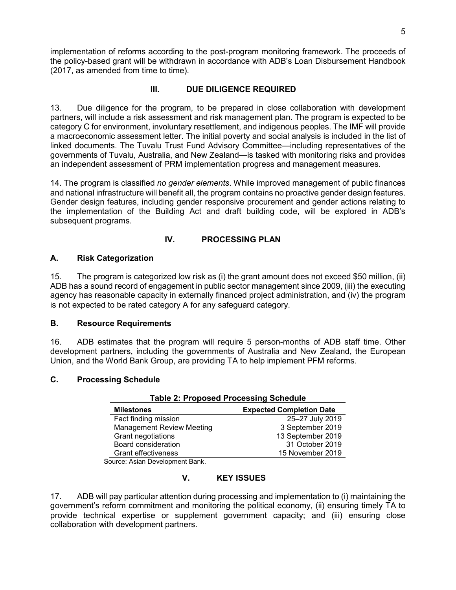implementation of reforms according to the post-program monitoring framework. The proceeds of the policy-based grant will be withdrawn in accordance with ADB's Loan Disbursement Handbook (2017, as amended from time to time).

## **III. DUE DILIGENCE REQUIRED**

13. Due diligence for the program, to be prepared in close collaboration with development partners, will include a risk assessment and risk management plan. The program is expected to be category C for environment, involuntary resettlement, and indigenous peoples. The IMF will provide a macroeconomic assessment letter. The initial poverty and social analysis is included in the list of linked documents. The Tuvalu Trust Fund Advisory Committee—including representatives of the governments of Tuvalu, Australia, and New Zealand—is tasked with monitoring risks and provides an independent assessment of PRM implementation progress and management measures.

14. The program is classified *no gender elements*. While improved management of public finances and national infrastructure will benefit all, the program contains no proactive gender design features. Gender design features, including gender responsive procurement and gender actions relating to the implementation of the Building Act and draft building code, will be explored in ADB's subsequent programs.

## **IV. PROCESSING PLAN**

## **A. Risk Categorization**

15. The program is categorized low risk as (i) the grant amount does not exceed \$50 million, (ii) ADB has a sound record of engagement in public sector management since 2009, (iii) the executing agency has reasonable capacity in externally financed project administration, and (iv) the program is not expected to be rated category A for any safeguard category.

#### **B. Resource Requirements**

16. ADB estimates that the program will require 5 person-months of ADB staff time. Other development partners, including the governments of Australia and New Zealand, the European Union, and the World Bank Group, are providing TA to help implement PFM reforms.

#### **C. Processing Schedule**

| <b>Table 2: Proposed Processing Schedule</b> |                                 |  |
|----------------------------------------------|---------------------------------|--|
| <b>Milestones</b>                            | <b>Expected Completion Date</b> |  |
| Fact finding mission                         | 25-27 July 2019                 |  |
| <b>Management Review Meeting</b>             | 3 September 2019                |  |
| Grant negotiations                           | 13 September 2019               |  |
| Board consideration                          | 31 October 2019                 |  |
| <b>Grant effectiveness</b>                   | 15 November 2019                |  |
| $\sim$                                       |                                 |  |

Source: Asian Development Bank.

#### **V. KEY ISSUES**

17. ADB will pay particular attention during processing and implementation to (i) maintaining the government's reform commitment and monitoring the political economy, (ii) ensuring timely TA to provide technical expertise or supplement government capacity; and (iii) ensuring close collaboration with development partners.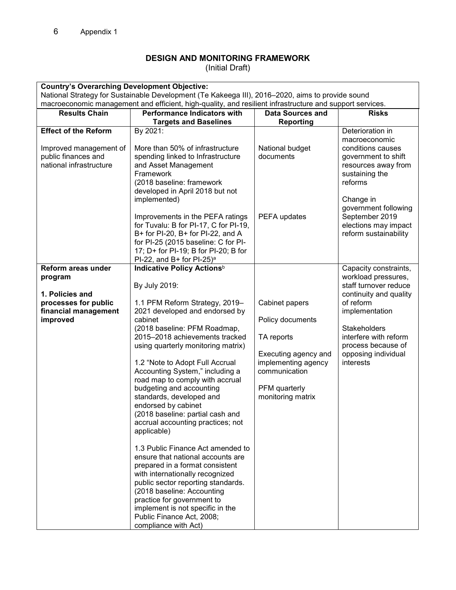## **DESIGN AND MONITORING FRAMEWORK**

(Initial Draft)

| <b>Country's Overarching Development Objective:</b>                                                          |                                                                                                                                                                                                                                                                                                                                                                                                                                                                                                                                                                                                                                                                                                                                                                                                                                                   |                                                                                                                                                        |                                                                                                                                                                                                                                           |
|--------------------------------------------------------------------------------------------------------------|---------------------------------------------------------------------------------------------------------------------------------------------------------------------------------------------------------------------------------------------------------------------------------------------------------------------------------------------------------------------------------------------------------------------------------------------------------------------------------------------------------------------------------------------------------------------------------------------------------------------------------------------------------------------------------------------------------------------------------------------------------------------------------------------------------------------------------------------------|--------------------------------------------------------------------------------------------------------------------------------------------------------|-------------------------------------------------------------------------------------------------------------------------------------------------------------------------------------------------------------------------------------------|
|                                                                                                              | National Strategy for Sustainable Development (Te Kakeega III), 2016–2020, aims to provide sound                                                                                                                                                                                                                                                                                                                                                                                                                                                                                                                                                                                                                                                                                                                                                  |                                                                                                                                                        |                                                                                                                                                                                                                                           |
|                                                                                                              | macroeconomic management and efficient, high-quality, and resilient infrastructure and support services.                                                                                                                                                                                                                                                                                                                                                                                                                                                                                                                                                                                                                                                                                                                                          |                                                                                                                                                        |                                                                                                                                                                                                                                           |
| <b>Results Chain</b>                                                                                         | <b>Performance Indicators with</b>                                                                                                                                                                                                                                                                                                                                                                                                                                                                                                                                                                                                                                                                                                                                                                                                                | <b>Data Sources and</b>                                                                                                                                | <b>Risks</b>                                                                                                                                                                                                                              |
| <b>Effect of the Reform</b>                                                                                  | <b>Targets and Baselines</b>                                                                                                                                                                                                                                                                                                                                                                                                                                                                                                                                                                                                                                                                                                                                                                                                                      | <b>Reporting</b>                                                                                                                                       |                                                                                                                                                                                                                                           |
| Improved management of<br>public finances and<br>national infrastructure                                     | By 2021:<br>More than 50% of infrastructure<br>spending linked to Infrastructure<br>and Asset Management<br>Framework<br>(2018 baseline: framework<br>developed in April 2018 but not<br>implemented)<br>Improvements in the PEFA ratings<br>for Tuvalu: B for PI-17, C for PI-19,<br>B+ for PI-20, B+ for PI-22, and A<br>for PI-25 (2015 baseline: C for PI-<br>17; D+ for PI-19; B for PI-20; B for<br>PI-22, and B+ for PI-25) <sup>a</sup>                                                                                                                                                                                                                                                                                                                                                                                                   | National budget<br>documents<br>PEFA updates                                                                                                           | Deterioration in<br>macroeconomic<br>conditions causes<br>government to shift<br>resources away from<br>sustaining the<br>reforms<br>Change in<br>government following<br>September 2019<br>elections may impact<br>reform sustainability |
| Reform areas under<br>program<br>1. Policies and<br>processes for public<br>financial management<br>improved | Indicative Policy Actions <sup>b</sup><br>By July 2019:<br>1.1 PFM Reform Strategy, 2019-<br>2021 developed and endorsed by<br>cabinet<br>(2018 baseline: PFM Roadmap,<br>2015-2018 achievements tracked<br>using quarterly monitoring matrix)<br>1.2 "Note to Adopt Full Accrual<br>Accounting System," including a<br>road map to comply with accrual<br>budgeting and accounting<br>standards, developed and<br>endorsed by cabinet<br>(2018 baseline: partial cash and<br>accrual accounting practices; not<br>applicable)<br>1.3 Public Finance Act amended to<br>ensure that national accounts are<br>prepared in a format consistent<br>with internationally recognized<br>public sector reporting standards.<br>(2018 baseline: Accounting<br>practice for government to<br>implement is not specific in the<br>Public Finance Act, 2008; | Cabinet papers<br>Policy documents<br>TA reports<br>Executing agency and<br>implementing agency<br>communication<br>PFM quarterly<br>monitoring matrix | Capacity constraints,<br>workload pressures,<br>staff turnover reduce<br>continuity and quality<br>of reform<br>implementation<br>Stakeholders<br>interfere with reform<br>process because of<br>opposing individual<br>interests         |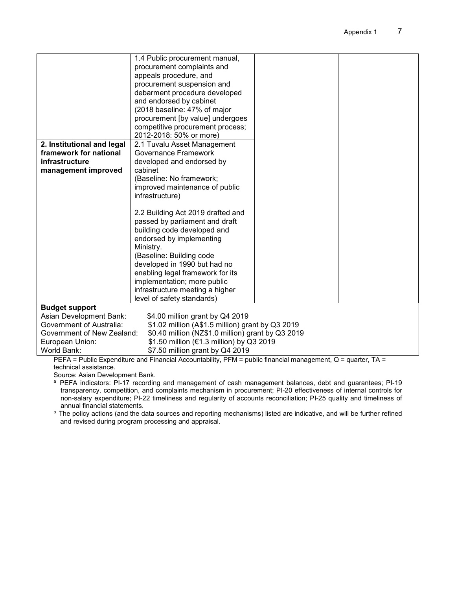|                                                                                                                                                                                                                                       | 1.4 Public procurement manual,<br>procurement complaints and<br>appeals procedure, and<br>procurement suspension and<br>debarment procedure developed<br>and endorsed by cabinet<br>(2018 baseline: 47% of major<br>procurement [by value] undergoes<br>competitive procurement process;<br>2012-2018: 50% or more)                         |  |
|---------------------------------------------------------------------------------------------------------------------------------------------------------------------------------------------------------------------------------------|---------------------------------------------------------------------------------------------------------------------------------------------------------------------------------------------------------------------------------------------------------------------------------------------------------------------------------------------|--|
| 2. Institutional and legal<br>framework for national<br>infrastructure<br>management improved                                                                                                                                         | 2.1 Tuvalu Asset Management<br><b>Governance Framework</b><br>developed and endorsed by<br>cabinet<br>(Baseline: No framework;<br>improved maintenance of public<br>infrastructure)                                                                                                                                                         |  |
|                                                                                                                                                                                                                                       | 2.2 Building Act 2019 drafted and<br>passed by parliament and draft<br>building code developed and<br>endorsed by implementing<br>Ministry.<br>(Baseline: Building code<br>developed in 1990 but had no<br>enabling legal framework for its<br>implementation; more public<br>infrastructure meeting a higher<br>level of safety standards) |  |
| <b>Budget support</b><br>Asian Development Bank:<br>\$4.00 million grant by Q4 2019                                                                                                                                                   |                                                                                                                                                                                                                                                                                                                                             |  |
| <b>Government of Australia:</b><br>\$1.02 million (A\$1.5 million) grant by Q3 2019<br>\$0.40 million (NZ\$1.0 million) grant by Q3 2019<br>Government of New Zealand:<br>\$1.50 million (€1.3 million) by Q3 2019<br>European Union: |                                                                                                                                                                                                                                                                                                                                             |  |
| World Bank:<br>DEEA DULLETU<br>ata.                                                                                                                                                                                                   | \$7.50 million grant by Q4 2019<br>$\mathbf{J}$ . The set of $\mathbf{J}$<br>$\mathbf{r}$                                                                                                                                                                                                                                                   |  |

PEFA = Public Expenditure and Financial Accountability, PFM = public financial management, Q = quarter, TA = technical assistance.

Source: Asian Development Bank.

<sup>a</sup> PEFA indicators: PI-17 recording and management of cash management balances, debt and guarantees; PI-19 transparency, competition, and complaints mechanism in procurement; PI-20 effectiveness of internal controls for non-salary expenditure; PI-22 timeliness and regularity of accounts reconciliation; PI-25 quality and timeliness of annual financial statements.

b The policy actions (and the data sources and reporting mechanisms) listed are indicative, and will be further refined and revised during program processing and appraisal.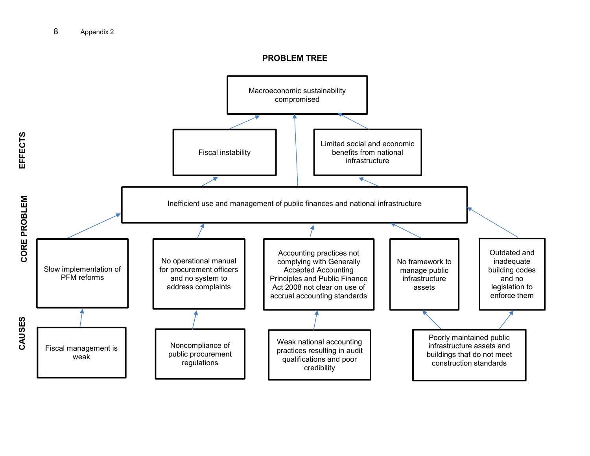#### **PROBLEM TREE**